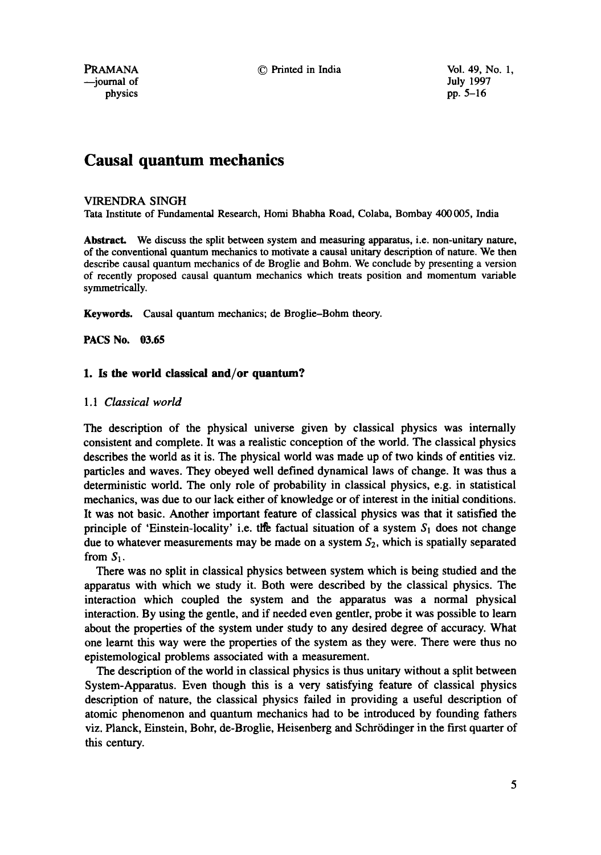PRAMANA © Printed in India Vol. 49, No. 1,

# **Causal quantum mechanics**

### VIRENDRA SINGH

Tata Institute of Fundamental Research, Homi Bhabha Road, Colaba, Bombay 400 005, India

Abstract. We discuss the split between system and measuring apparatus, i,e. non-unitary nature, of the conventional quantum mechanics to motivate a causal unitary description of nature. We then describe causal quantum mechanics of de Broglie and Bohm. We conclude by presenting a version of recently proposed causal quantum mechanics which treats position and momentum variable symmetrically.

Keywords. Causal quantum mechanics; de Broglie-Bohm theory.

**PACS No. 03.65** 

# **1. Is the world classical and/or quantum?**

# 1.1 *Classical world*

The description of the physical universe given by classical physics was internally consistent and complete. It was a realistic conception of the world. The classical physics describes the world as it is. The physical world was made up of two kinds of entities viz. particles and waves. They obeyed well defined dynamical laws of change. It was thus a deterministic world. The only role of probability in classical physics, e.g. in statistical mechanics, was due to our lack either of knowledge or of interest in the initial conditions. It was not basic. Another important feature of classical physics was that it satisfied the principle of 'Einstein-locality' i.e. the factual situation of a system  $S_1$  does not change due to whatever measurements may be made on a system  $S_2$ , which is spatially separated from  $S_1$ .

There was no split in classical physics between system which is being studied and the apparatus with which we study it. Both were described by the classical physics. The interaction which coupled the system and the apparatus was a normal physical interaction. By using the gentle, and if needed even gentler, probe it was possible to learn about the properties of the system under study to any desired degree of accuracy. What one learnt this way were the properties of the system as they were. There were thus no epistemological problems associated with a measurement.

The description of the world in classical physics is thus unitary without a split between System-Apparatus. Even though this is a very satisfying feature of classical physics description of nature, the classical physics failed in providing a useful description of atomic phenomenon and quantum mechanics had to be introduced by founding fathers viz. Planck, Einstein, Bohr, de-Broglie, Heisenberg and Schr6dinger in the first quarter of this century.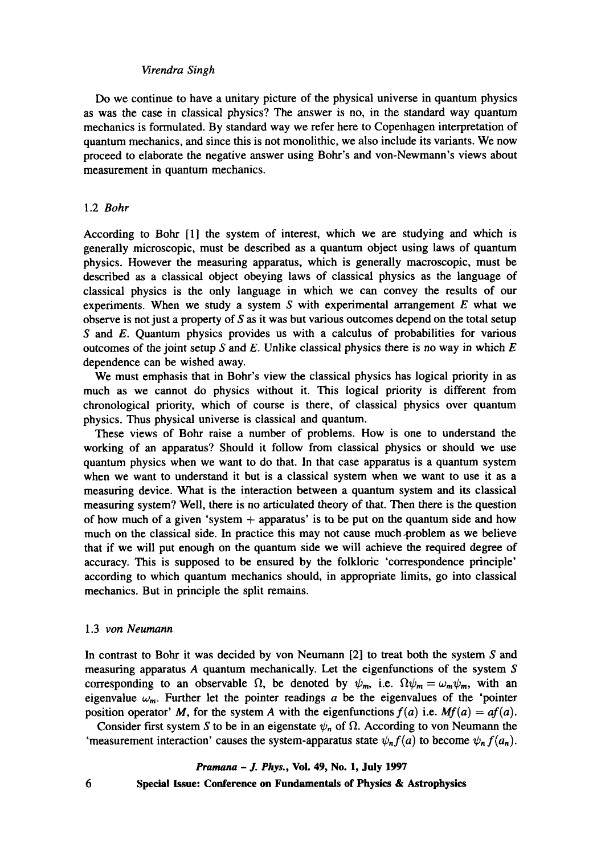Do we continue to have a unitary picture of the physical universe in quantum physics as was the case in classical physics? The answer is no, in the standard way quantum mechanics is formulated. By standard way we refer here to Copenhagen interpretation of quantum mechanics, and since this is not monolithic, we also include its variants. We now proceed to elaborate the negative answer using Bohr's and von-Newmann's views about measurement in quantum mechanics.

## 1.2 *Bohr*

According to Bohr [1] the system of interest, which we are studying and which is generally microscopic, must be described as a quantum object using laws of quantum physics. However the measuring apparatus, which is generally macroscopic, must be described as a classical object obeying laws of classical physics as the language of classical physics is the only language in which we can convey the results of our experiments. When we study a system  $S$  with experimental arrangement  $E$  what we observe is not just a property of  $S$  as it was but various outcomes depend on the total setup  $S$  and  $E$ . Quantum physics provides us with a calculus of probabilities for various outcomes of the joint setup S and E. Unlike classical physics there is no way in which  $E$ dependence can be wished away.

We must emphasis that in Bohr's view the classical physics has logical priority in as much as we cannot do physics without it. This logical priority is different from chronological priority, which of course is there, of classical physics over quantum physics. Thus physical universe is classical and quantum.

These views of Bohr raise a number of problems. How is one to understand the working of an apparatus? Should it follow from classical physics or should we use quantum physics when we want to do that. In that case apparatus is a quantum system when we want to understand it but is a classical system when we want to use it as a measuring device. What is the interaction between a quantum system and its classical measuring system? Well, there is no articulated theory of that. Then there is the question of how much of a given 'system + apparatus' is to be put on the quantum side and how much on the classical side. In practice this may not cause much problem as we believe that if we will put enough on the quantum side we will achieve the required degree of accuracy. This is supposed to be ensured by the folkloric 'correspondence principle' according to which quantum mechanics should, in appropriate limits, go into classical mechanics. But in principle the split remains.

## *1.3 von Neumann*

In contrast to Bohr it was decided by von Neumann [2] to treat both the system S and measuring apparatus A quantum mechanically. Let the eigenfunctions of the system  $S$ corresponding to an observable  $\Omega$ , be denoted by  $\psi_m$ , i.e.  $\Omega \psi_m = \omega_m \psi_m$ , with an eigenvalue  $\omega_m$ . Further let the pointer readings a be the eigenvalues of the 'pointer position operator' M, for the system A with the eigenfunctions  $f(a)$  i.e.  $Mf(a) = af(a)$ .

Consider first system S to be in an eigenstate  $\psi_n$  of  $\Omega$ . According to von Neumann the 'measurement interaction' causes the system-apparatus state  $\psi_n f(a)$  to become  $\psi_n f(a_n)$ .

#### *Pramana - J. Phys.,* Vol. 49, No. 1, July 1997

6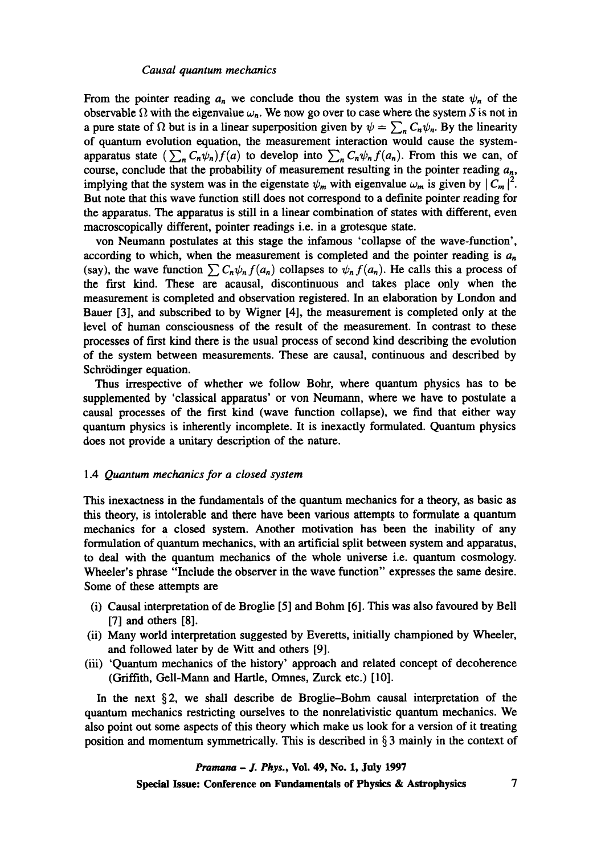From the pointer reading  $a_n$  we conclude thou the system was in the state  $\psi_n$  of the observable  $\Omega$  with the eigenvalue  $\omega_n$ . We now go over to case where the system S is not in a pure state of  $\Omega$  but is in a linear superposition given by  $\psi = \sum_{n} C_{n} \psi_{n}$ . By the linearity of quantum evolution equation, the measurement interaction would cause the systemapparatus state  $(\sum_{n} C_{n} \psi_{n}) f(a)$  to develop into  $\sum_{n} C_{n} \psi_{n} f(a_{n})$ . From this we can, of course, conclude that the probability of measurement resulting in the pointer reading  $a_n$ , implying that the system was in the eigenstate  $\psi_m$  with eigenvalue  $\omega_m$  is given by  $|C_m|^2$ . But note that this wave function still does not correspond to a definite pointer reading for the apparatus. The apparatus is still in a linear combination of states with different, even macroscopically different, pointer readings i.e. in a grotesque state.

von Neumann postulates at this stage the infamous 'collapse of the wave-function', according to which, when the measurement is completed and the pointer reading is  $a_n$ (say), the wave function  $\sum C_n \psi_n f(a_n)$  collapses to  $\psi_n f(a_n)$ . He calls this a process of the first kind. These are acausal, discontinuous and takes place only when the measurement is completed and observation registered. In an elaboration by London and Bauer [3], and subscribed to by Wigner [4], the measurement is completed only at the level of human consciousness of the result of the measurement. In contrast to these processes of first kind there is the usual process of second kind describing the evolution of the system between measurements. These are causal, continuous and described by Schrödinger equation.

Thus irrespective of whether we follow Bohr, where quantum physics has to be supplemented by 'classical apparatus' or von Neumann, where we have to postulate a causal processes of the first kind (wave function collapse), we find that either way quantum physics is inherently incomplete. It is inexactly formulated. Quantum physics does not provide a unitary description of the nature.

#### *1.4 Quantum mechanics for a closed system*

This inexactness in the fundamentals of the quantum mechanics for a theory, as basic as this theory, is intolerable and there have been various attempts to formulate a quantum mechanics for a closed system. Another motivation has been the inability of any formulation of quantum mechanics, with an artificial split between system and apparatus, to deal with the quantum mechanics of the whole universe i.e. quantum cosmology. Wheeler's phrase "Include the observer in the wave function" expresses the same desire. Some of these attempts are

- (i) Causal interpretation of de Broglie [5] and Bohm [6]. This was also favoured by Bell [7] and others [8].
- (ii) Many world interpretation suggested by Everetts, initially championed by Wheeler, and followed later by de Witt and others [9].
- (iii) 'Quantum mechanics of the history' approach and related concept of decoberence (Griffith, Gell-Mann and Hattie, Omnes, Zurck etc.) [10].

In the next  $\S$ 2, we shall describe de Broglie-Bohm causal interpretation of the quantum mechanics restricting ourselves to the nonrelativistic quantum mechanics. We also point out some aspects of this theory which make us look for a version of it treating position and momentum symmetrically. This is described in § 3 mainly in the context of

> *Pramana - J. Phys.,* Vol. 49, No. 1, July 1997 Special **Issue: Conference on Fundamentals of Physics & Astrophysics 7**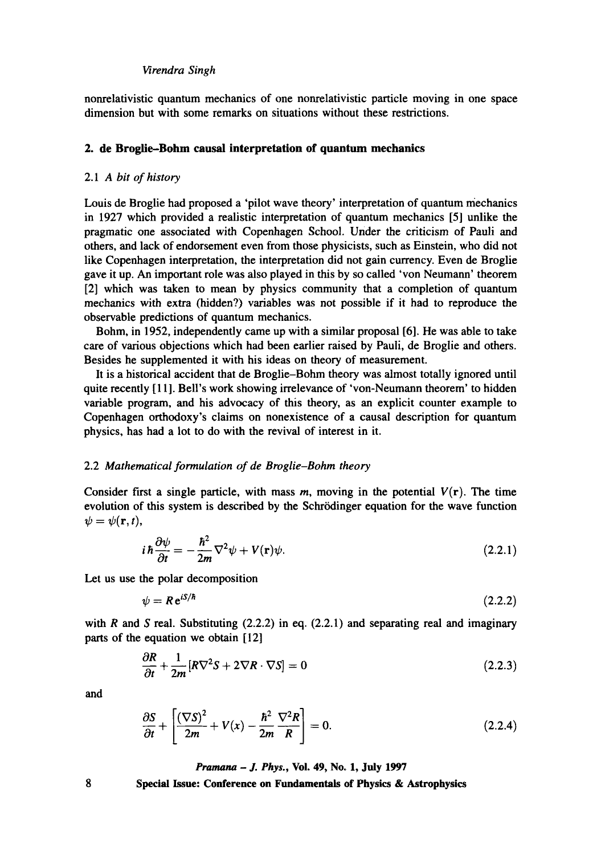nonrelativistic quantum mechanics of one nonrelativistic particle moving in one space dimension but with some remarks on situations without these restrictions.

## **2. de Broglie-Bohm causal interpretation of quantum mechanics**

## *2.1 A bit of history*

Louis de Broglie had proposed a 'pilot wave theory' interpretation of quantum mechanics in 1927 which provided a realistic interpretation of quantum mechanics [5] unlike the pragmatic one associated with Copenhagen School. Under the criticism of Pauli and others, and lack of endorsement even from those physicists, such as Einstein, who did not like Copenhagen interpretation, the interpretation did not gain currency. Even de Broglie gave it up. An important role was also played in this by so called 'von Neumann' theorem [2] which was taken to mean by physics community that a completion of quantum mechanics with extra (hidden?) variables was not possible if it had to reproduce the observable predictions of quantum mechanics.

Bohm, in 1952, independently came up with a similar proposal [6]. He was able to take care of various objections which had been earlier raised by Pauli, de Broglie and others. Besides he supplemented it with his ideas on theory of measurement.

It is a historical accident that de Broglie-Bohm theory was almost totally ignored until quite recently [11]. Bell's work showing irrelevance of 'von-Neumann theorem' to hidden variable program, and his advocacy of this theory, as an explicit counter example to Copenhagen orthodoxy's claims on nonexistence of a causal description for quantum physics, has had a lot to do with the revival of interest in it.

## 2.2 *Mathematical formulation of de Broglie-Bohm theory*

Consider first a single particle, with mass  $m$ , moving in the potential  $V(r)$ . The time evolution of this system is described by the Schrödinger equation for the wave function  $\psi = \psi(\mathbf{r}, t),$ 

$$
i\hbar\frac{\partial\psi}{\partial t} = -\frac{\hbar^2}{2m}\nabla^2\psi + V(\mathbf{r})\psi.
$$
 (2.2.1)

Let us use the polar decomposition

$$
\psi = R e^{iS/\hbar} \tag{2.2.2}
$$

with R and S real. Substituting  $(2.2.2)$  in eq.  $(2.2.1)$  and separating real and imaginary parts of the equation we obtain [12]

$$
\frac{\partial R}{\partial t} + \frac{1}{2m} [R\nabla^2 S + 2\nabla R \cdot \nabla S] = 0 \qquad (2.2.3)
$$

and

$$
\frac{\partial S}{\partial t} + \left[ \frac{(\nabla S)^2}{2m} + V(x) - \frac{\hbar^2}{2m} \frac{\nabla^2 R}{R} \right] = 0.
$$
 (2.2.4)

*Pramana - J. Phys., Vol. 49, No. 1, July 1997* 

Special **Issue: Conference on Fundamentals of Physics & Astrophysics** 

8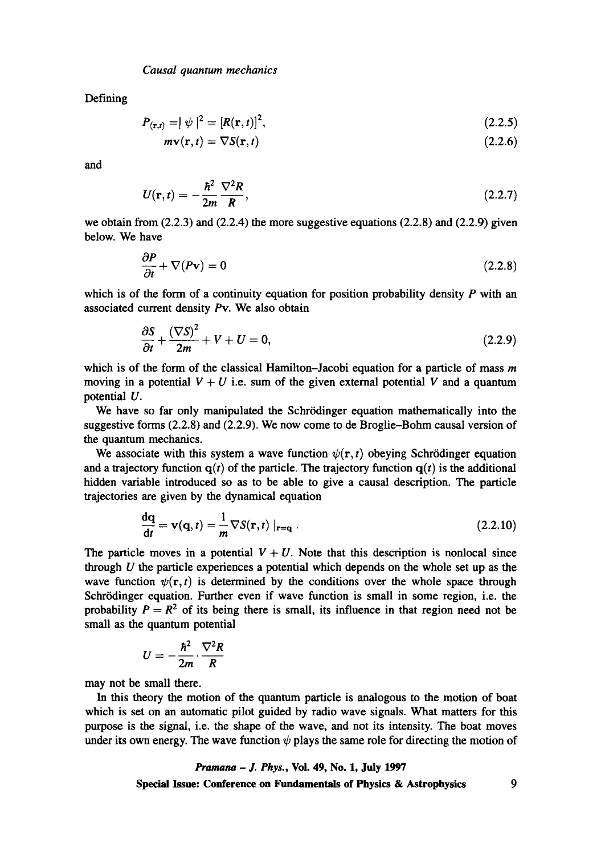Defining

$$
P_{(r,t)} = |\psi|^2 = [R(r,t)]^2, \qquad (2.2.5)
$$

$$
m\mathbf{v}(\mathbf{r},t)=\nabla S(\mathbf{r},t) \tag{2.2.6}
$$

and

$$
U(\mathbf{r},t) = -\frac{\hbar^2}{2m} \frac{\nabla^2 R}{R},\qquad(2.2.7)
$$

we obtain from  $(2.2.3)$  and  $(2.2.4)$  the more suggestive equations  $(2.2.8)$  and  $(2.2.9)$  given below. We have

$$
\frac{\partial P}{\partial t} + \nabla (P \mathbf{v}) = 0 \tag{2.2.8}
$$

which is of the form of a continuity equation for position probability density  $P$  with an associated current density Pv. We also obtain

$$
\frac{\partial S}{\partial t} + \frac{(\nabla S)^2}{2m} + V + U = 0, \tag{2.2.9}
$$

which is of the form of the classical Hamilton-Jacobi equation for a particle of mass  $m$ moving in a potential  $V + U$  i.e. sum of the given external potential V and a quantum potential U.

We have so far only manipulated the Schrödinger equation mathematically into the suggestive forms (2.2.8) and (2.2.9). We now come to de Broglie-Bohm causal version of the quantum mechanics.

We associate with this system a wave function  $\psi(\mathbf{r}, t)$  obeying Schrödinger equation and a trajectory function  $q(t)$  of the particle. The trajectory function  $q(t)$  is the additional hidden variable introduced so as to be able to give a causal description. The particle trajectories are given by the dynamical equation

$$
\frac{dq}{dt} = \mathbf{v}(\mathbf{q}, t) = \frac{1}{m} \nabla S(\mathbf{r}, t) \mid_{\mathbf{r} = \mathbf{q}}.
$$
 (2.2.10)

The particle moves in a potential  $V + U$ . Note that this description is nonlocal since through  $U$  the particle experiences a potential which depends on the whole set up as the wave function  $\psi(\mathbf{r}, t)$  is determined by the conditions over the whole space through Schrödinger equation. Further even if wave function is small in some region, i.e. the probability  $P = R^2$  of its being there is small, its influence in that region need not be small as the quantum potential

$$
U=-\frac{\hbar^2}{2m}\cdot\frac{\nabla^2R}{R}
$$

may not be small there.

In this theory the motion of the quantum particle is analogous to the motion of boat which is set on an automatic pilot guided by radio wave signals. What matters for this purpose is the signal, i.e. the shape of the wave, and not its intensity. The boat moves under its own energy. The wave function  $\psi$  plays the same role for directing the motion of

#### *Pramana - J. Phys.,* **Voi. 49, No. 1, July 1997**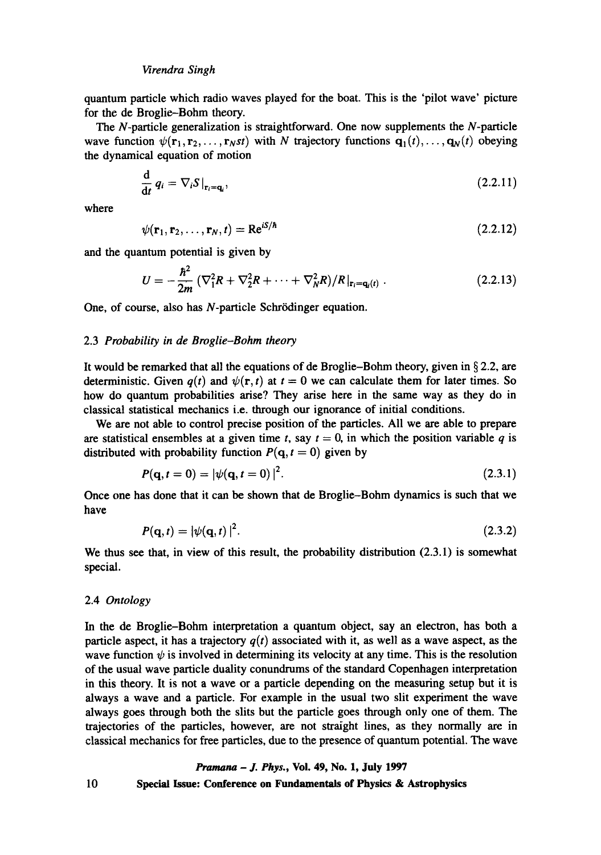quantum particle which radio waves played for the boat. This is the 'pilot wave' picture for the de Broglie-Bohm theory.

The N-particle generalization is straightforward. One now supplements the N-particle wave function  $\psi(\mathbf{r}_1,\mathbf{r}_2,\ldots,\mathbf{r}_N s t)$  with N trajectory functions  $\mathbf{q}_1(t),\ldots,\mathbf{q}_N(t)$  obeying the dynamical equation of motion

$$
\frac{\mathrm{d}}{\mathrm{d}t}q_i = \nabla_i S|_{\mathbf{r}_i = \mathbf{q}_i},\tag{2.2.11}
$$

where

$$
\psi(\mathbf{r}_1, \mathbf{r}_2, \dots, \mathbf{r}_N, t) = \text{Re}^{iS/\hbar} \tag{2.2.12}
$$

and the quantum potential is given by

$$
U = -\frac{\hbar^2}{2m} \left( \nabla_1^2 R + \nabla_2^2 R + \dots + \nabla_N^2 R \right) / R \big|_{\mathbf{r}_i = \mathbf{q}_i(t)} \,. \tag{2.2.13}
$$

One, of course, also has N-particle Schrödinger equation.

#### 2.3 *Probability in de Broglie-Bohm theory*

It would be remarked that all the equations of de Broglie-Bohm theory, given in  $\S 2.2$ , are deterministic. Given  $q(t)$  and  $\psi(\mathbf{r}, t)$  at  $t = 0$  we can calculate them for later times. So how do quantum probabilities arise? They arise here in the same way as they do in classical statistical mechanics i.e. through our ignorance of initial conditions.

We are not able to control precise position of the particles. All we are able to prepare are statistical ensembles at a given time t, say  $t = 0$ , in which the position variable q is distributed with probability function  $P(\mathbf{q}, t = 0)$  given by

$$
P(\mathbf{q}, t = 0) = |\psi(\mathbf{q}, t = 0)|^{2}.
$$
 (2.3.1)

Once one has done that it can be shown that de Broglie-Bohm dynamics is such that we have

$$
P(\mathbf{q},t) = |\psi(\mathbf{q},t)|^2. \tag{2.3.2}
$$

We thus see that, in view of this result, the probability distribution  $(2.3.1)$  is somewhat special.

#### 2.4 *Ontology*

In the de Broglie-Bohm interpretation a quantum object, say an electron, has both a particle aspect, it has a trajectory  $q(t)$  associated with it, as well as a wave aspect, as the wave function  $\psi$  is involved in determining its velocity at any time. This is the resolution of the usual wave particle duality conundrums of the standard Copenhagen interpretation in this theory. It is not a wave or a particle depending on the measuring setup but it is always a wave and a particle. For example in the usual two slit experiment the wave always goes through both the slits but the particle goes through only one of them. The trajectories of the particles, however, are not straight lines, as they normally are in classical mechanics for free particles, due to the presence of quantum potential. The wave

#### *Pramana - J. Phys.,* Vol. 49, No. 1, July 1997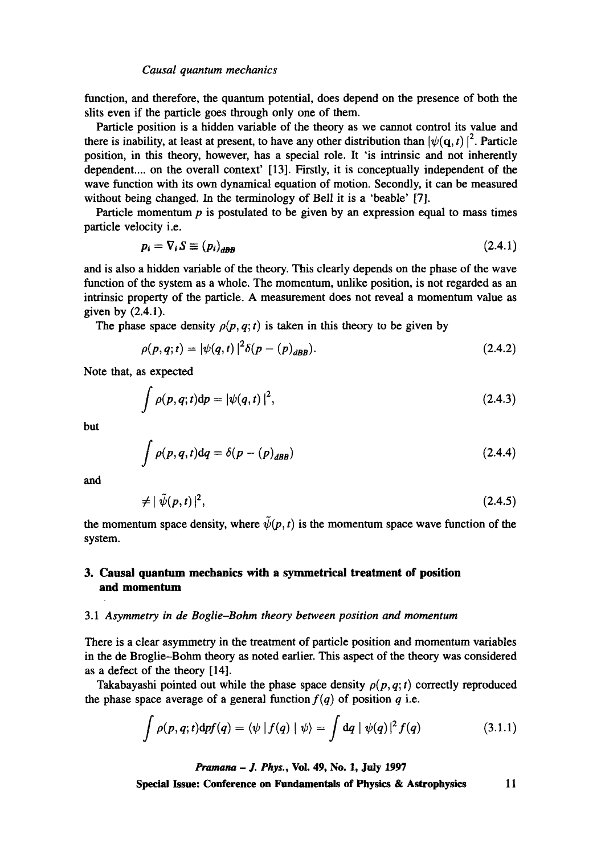function, and therefore, the quantum potential, does depend on the presence of both the slits even if the particle goes through only one of them.

Particle position is a hidden variable of the theory as we cannot control its value and there is inability, at least at present, to have any other distribution than  $|\psi(\mathbf{q}, t)|^2$ . Particle position, in this theory, however, has a special role. It 'is intrinsic and not inherently dependent.... on the overall context' [13]. Firstly, it is conceptually independent of the wave function with its own dynamical equation of motion. Secondly, it can be measured without being changed. In the terminology of Bell it is a 'beable' [7].

Particle momentum  $p$  is postulated to be given by an expression equal to mass times particle velocity i.e.

$$
p_i = \nabla_i S \equiv (p_i)_{dBB} \tag{2.4.1}
$$

and is also a hidden variable of the theory. This clearly depends on the phase of the wave function of the system as a whole. The momentum, unlike position, is not regarded as an intrinsic property of the particle. A measurement does not reveal a momentum value as given by  $(2.4.1)$ .

The phase space density  $\rho(p,q;t)$  is taken in this theory to be given by

$$
\rho(p,q;t) = |\psi(q,t)|^2 \delta(p-(p)_{\text{dBB}}). \tag{2.4.2}
$$

Note that, as expected

$$
\int \rho(p,q;t)dp = |\psi(q,t)|^2,
$$
\n(2.4.3)

but

$$
\int \rho(p,q,t) \mathrm{d}q = \delta(p-(p)_{\text{dBB}}) \tag{2.4.4}
$$

*and* 

$$
\neq |\tilde{\psi}(p,t)|^2, \tag{2.4.5}
$$

the momentum space density, where  $\tilde{\psi}(p, t)$  is the momentum space wave function of the system.

# **3. Causal quantum mechanics with a symmetrical treatment of position and momentum**

# *3.1 Asymmetry in de Boglie-Bohm theory between position and momentum*

There is a clear asymmetry in the treatment of particle position and momentum variables in the de Broglie-Bohm theory as noted earlier. This aspect of the theory was considered as a defect of the theory [14].

Takabayashi pointed out while the phase space density  $\rho(p,q;t)$  correctly reproduced the phase space average of a general function  $f(q)$  of position q i.e.

$$
\int \rho(p,q;t) dp f(q) = \langle \psi | f(q) | \psi \rangle = \int dq | \psi(q) |^2 f(q) \tag{3.1.1}
$$

*Pramana - J. Phys.,* **Vol. 49, No. 1, July 1997 Special Issue: Conference on Fundamentals of Physics & Astrophysics** 11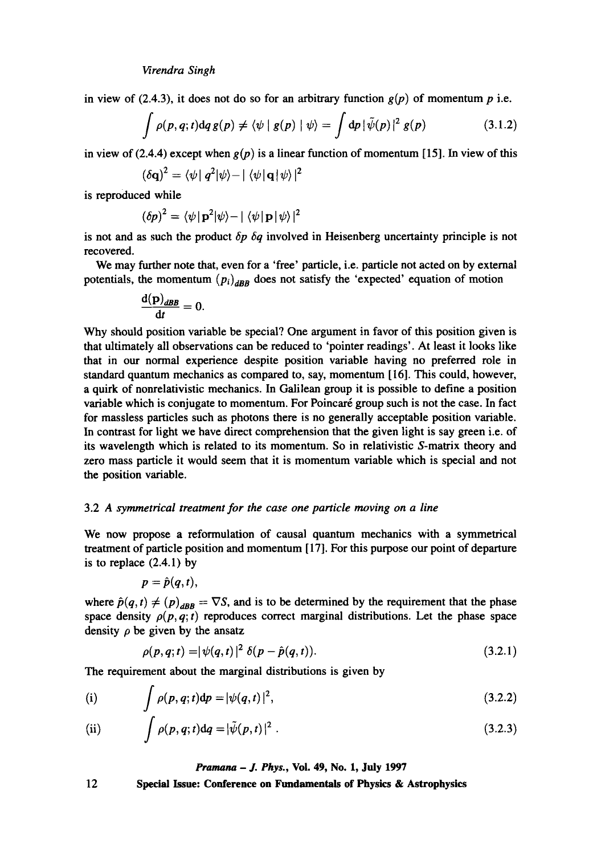in view of (2.4.3), it does not do so for an arbitrary function  $g(p)$  of momentum p i.e.

$$
\int \rho(p,q;t) \mathrm{d}q g(p) \neq \langle \psi \mid g(p) \mid \psi \rangle = \int \mathrm{d}p \, |\tilde{\psi}(p)|^2 \, g(p) \tag{3.1.2}
$$

in view of (2.4.4) except when  $g(p)$  is a linear function of momentum [15]. In view of this

$$
\left(\delta\mathbf{q}\right)^2=\bra{\psi}q^2\ket{\psi}-\mid\bra{\psi}\mathbf{q}\ket{\psi}\mid^2
$$

is reproduced while

$$
(\delta p)^2 = \langle \psi | \mathbf{p}^2 | \psi \rangle - | \langle \psi | \mathbf{p} | \psi \rangle |^2
$$

is not and as such the product  $\delta p$   $\delta q$  involved in Heisenberg uncertainty principle is not recovered.

We may further note that, even for a 'free' particle, i.e. particle not acted on by external potentials, the momentum  $(p_i)_{ABB}$  does not satisfy the 'expected' equation of motion

$$
\frac{\mathrm{d}(\mathbf{p})_{\text{dBB}}}{\mathrm{d}t}=0.
$$

Why should position variable be special? One argument in favor of this position given is that ultimately all observations can be reduced to 'pointer readings'. At least it looks like that in our normal experience despite position variable having no preferred role in standard quantum mechanics as compared to, say, momentum [16]. This could, however, a quirk of nonrelativistic mechanics. In Gaiilean group it is possible to define a position variable which is conjugate to momentum. For Poincaré group such is not the case. In fact for massless particles such as photons there is no generally acceptable position variable. In contrast for light we have direct comprehension that the given light is say green i.e. of its wavelength which is related to its momentum. So in relativistic S-matrix theory and zero mass particle it would seem that it is momentum variable which is special and not the position variable.

#### 3.2 *A symmetrical treatment for the case one particle moving on a line*

We now propose a reformulation of causal quantum mechanics with a symmetrical treatment of particle position and momentum [17]. For this purpose our point of departure is to replace  $(2.4.1)$  by

$$
p=\hat{p}(q,t),
$$

where  $\hat{p}(q, t) \neq (p)_{ABB} = \nabla S$ , and is to be determined by the requirement that the phase space density  $\rho(p, q; t)$  reproduces correct marginal distributions. Let the phase space density  $\rho$  be given by the ansatz

$$
\rho(p,q;t) = |\psi(q,t)|^2 \delta(p - \hat{p}(q,t)). \tag{3.2.1}
$$

The requirement about the marginal distributions is given by

(i) 
$$
\int \rho(p,q;t)dp = |\psi(q,t)|^2,
$$
 (3.2.2)

(ii) 
$$
\int \rho(p,q;t) dq = |\tilde{\psi}(p,t)|^2
$$
. (3.2.3)

*Pramana - J. Phys.,* **Vol. 49, No. 1, July 1997**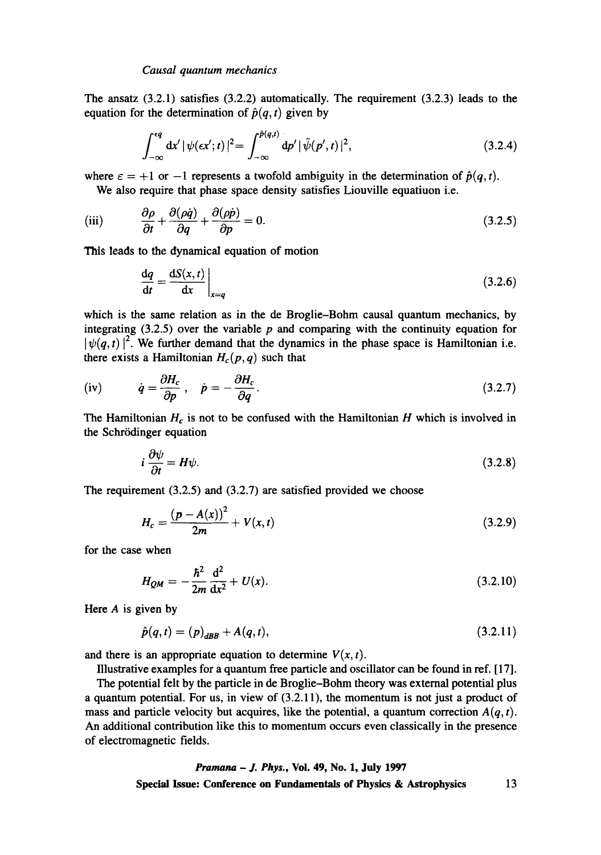The ansatz (3.2.1) satisfies (3.2.2) automatically. The requirement (3.2.3) leads to the equation for the determination of  $\hat{p}(q, t)$  given by

$$
\int_{-\infty}^{\epsilon q} dx' |\psi(\epsilon x';t)|^2 = \int_{-\infty}^{\hat{p}(q,t)} dp' |\tilde{\psi}(p',t)|^2,
$$
\n(3.2.4)

where  $\varepsilon = +1$  or  $-1$  represents a twofold ambiguity in the determination of  $\hat{p}(q, t)$ . We also require that phase space density satisfies Liouville equatiuon i.e.

(iii) 
$$
\frac{\partial \rho}{\partial t} + \frac{\partial (\rho \dot{q})}{\partial q} + \frac{\partial (\rho \dot{p})}{\partial p} = 0.
$$
 (3.2.5)

This leads to the dynamical equation of motion

$$
\frac{dq}{dt} = \frac{dS(x,t)}{dx}\bigg|_{x=q}
$$
\n(3.2.6)

which is the same relation as in the de Broglie-Bohm causal quantum mechanics, by integrating  $(3.2.5)$  over the variable p and comparing with the continuity equation for  $|\psi(q, t)|^2$ . We further demand that the dynamics in the phase space is Hamiltonian i.e. there exists a Hamiltonian  $H_c(p,q)$  such that

(iv) 
$$
\dot{q} = \frac{\partial H_c}{\partial p}, \quad \dot{p} = -\frac{\partial H_c}{\partial q}.
$$
 (3.2.7)

The Hamiltonian  $H_c$  is not to be confused with the Hamiltonian H which is involved in the Schrödinger equation

$$
i\frac{\partial\psi}{\partial t} = H\psi.
$$
\n(3.2.8)

The requirement (3.2.5) and (3.2.7) are satisfied provided we choose

$$
H_c = \frac{(p - A(x))^2}{2m} + V(x, t)
$$
\n(3.2.9)

for the case when

$$
H_{QM} = -\frac{\hbar^2}{2m} \frac{\mathrm{d}^2}{\mathrm{d}x^2} + U(x). \tag{3.2.10}
$$

Here  $A$  is given by

$$
\hat{p}(q,t) = (p)_{dBB} + A(q,t),
$$
\n(3.2.11)

and there is an appropriate equation to determine  $V(x, t)$ .

Illustrative examples for a quantum free particle and oscillator can be found in ref. [17]. The potential felt by the particle in de Broglie-Bohm theory was external potential plus a quantum potential. For us, in view of (3.2.11), the momentum is not just a product of mass and particle velocity but acquires, like the potential, a quantum correction  $A(q, t)$ . An additional contribution like this to momentum occurs even classically in the presence of electromagnetic fields.

*Pramana - J. Phys.,* **Vol. 49, No. 1, July 1997 Special Issue: Conference on Fundamentals of Physics & Astrophysics** 13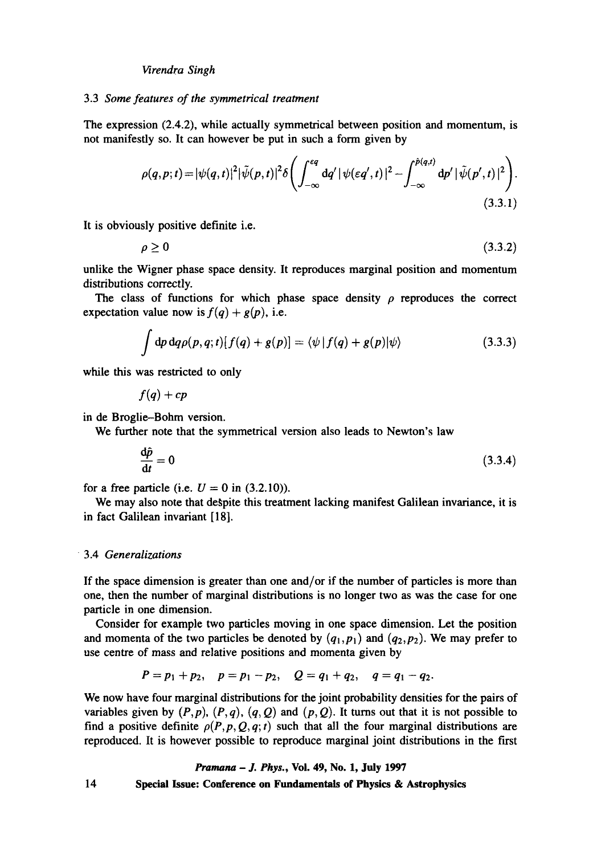## 3.3 *Some features of the symmetrical treatment*

The expression (2.4.2), while actually symmetrical between position and momentum, is not manifestly so. It can however be put in such a form given by

$$
\rho(q,p;t) = |\psi(q,t)|^2 |\tilde{\psi}(p,t)|^2 \delta \left( \int_{-\infty}^{\varepsilon q} dq' |\psi(\varepsilon q',t)|^2 - \int_{-\infty}^{\hat{p}(q,t)} dp' |\tilde{\psi}(p',t)|^2 \right).
$$
\n(3.3.1)

It is obviously positive definite i.e.

$$
\rho \ge 0 \tag{3.3.2}
$$

unlike the Wigner phase space density. It reproduces marginal position and momentum distributions correctly.

The class of functions for which phase space density  $\rho$  reproduces the correct expectation value now is  $f(q) + g(p)$ , i.e.

$$
\int dp \, dq \rho(p,q;t) [f(q) + g(p)] = \langle \psi | f(q) + g(p) | \psi \rangle \tag{3.3.3}
$$

while this was restricted to only

 $f(q) + cp$ 

in de Broglie-Bohm version.

We further note that the symmetrical version also leads to Newton's law

$$
\frac{\mathrm{d}\hat{p}}{\mathrm{d}t} = 0\tag{3.3.4}
$$

for a free particle (i.e.  $U = 0$  in (3.2.10)).

We may also note that despite this treatment lacking manifest Galilean invariance, it is in fact Galilean invariant [18].

## 3.4 *Generalizations*

If the space dimension is greater than one and/or if the number of particles is more than one, then the number of marginal distributions is no longer two as was the case for one particle in one dimension.

Consider for example two particles moving in one space dimension. Let the position and momenta of the two particles be denoted by  $(q_1,p_1)$  and  $(q_2,p_2)$ . We may prefer to use centre of mass and relative positions and momenta given by

$$
P=p_1+p_2, p=p_1-p_2, Q=q_1+q_2, q=q_1-q_2.
$$

We now have four marginal distributions for the joint probability densities for the pairs of variables given by  $(P, p)$ ,  $(P, q)$ ,  $(q, Q)$  and  $(p, Q)$ . It turns out that it is not possible to find a positive definite  $p(P, p, Q, q; t)$  such that all the four marginal distributions are reproduced. It is however possible to reproduce marginal joint distributions in the first

#### *Pramana - J. Phys.,* **Voi. 49, No. 1, July 1997**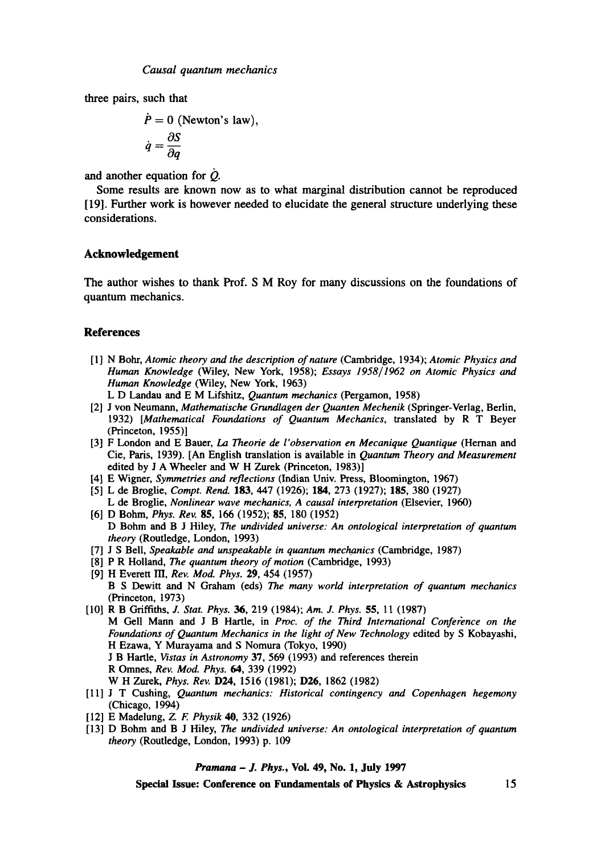three pairs, such that

$$
\dot{P} = 0 \text{ (Newton's law)},
$$
  

$$
\dot{q} = \frac{\partial S}{\partial q}
$$

and another equation for  $\dot{Q}$ .

Some results are known now as to what marginal distribution cannot be reproduced [191. Further work is however needed to elucidate the general structure underlying these considerations.

## **Acknowledgement**

The author wishes to thank Prof. S M Roy for many discussions on the foundations of quantum mechanics.

#### **References**

- [1] N Bohr, *Atomic theory and the description of nature* (Cambridge, 1934); *Atomic Physics and Human Knowledge* (Wiley, New York, 1958); *Essays 1958/1962 on Atomic Physics and Human Knowledge* (Wiley, New York, 1963)
- L D Landau and E M Lifshitz, *Quantum mechanics* (Pergamon, 1958)
- [2] J yon Neumann, *Mathematische Grundlagen der Quanten Mechenik* (Springer-Verlag, Berlin, 1932) *[Mathematical Foundations of Quantum Mechanics,* translated by R T Beyer (Princeton, 1955)1
- [3] F London and E Bauer, *La Theorie de l'observation en Mecanique Quantique* (Hernan and Cie, Paris, 1939). [An English translation is available in *Quantum Theory and Measurement*  edited by J A Wheeler and W H Zurek (Princeton, 1983)]
- [4] E Wigner, *Symmetries and reflections* (Indian Univ. Press, Bloomington, 1967)
- [5] L de Broglie, *Compt. Rend.* 183, 447 (1926); 184, 273 (1927); 185, 380 (1927) L de Broglie, *Nonlinear wave mechanics, A causal interpretation* (Elsevier, 1960)
- [6] D Bohm, *Phys. Rev.* 85, 166 (1952); 85, 180 (1952) D Bohm and B J Hiley, The *undivided universe: An ontological interpretation of quantum theory* (Routledge, London, 1993)
- [7] J S Bell, *Speakable and unspeakable in quantum mechanics* (Cambridge, 1987)
- [8] P R Holland, The *quantum theory of motion* (Cambridge, 1993)
- [9] H Everett III, *Rev. Mod. Phys.* **29,** 454 (1957) B S Dewitt and N Graham (eds) The *many world interpretation of quantum mechanics*  (Princeton, 1973)
- [10] *R B Griffiths, J. Stat. Phys. 36,* 219 (1984); *Am. J. Phys.* 55, 11 (1987) M Gell Mann and J B Hattie, in *Proc. of the Third International Confel:ence on the Foundations of Quantum Mechanics in the light of New Technology* edited by S Kobayashi, H Ezawa, Y Murayama and S Nomura (Tokyo, 1990) J B Hattie, *Vistas in Astronomy* 37, 569 (1993) and references therein R Omnes, *Rev. Mod. Phys. 64,* 339 (1992) W H Zurek, *Phys. Rev.* D24, 1516 (1981); D26, 1862 (1982)
- [11] J T Cushing, *Quantum mechanics: Historical contingency and Copenhagen hegemony*  (Chicago, 1994)
- [12] E Madelung, *Z. F. Physik 40,* 332 (1926)
- [13] D Bohm and B J Hiley, The *undivided universe: An ontological interpretation of quantum theory* (Routledge, London, 1993) p. 109

*Pramana - J. Phys.,* Vol. 49, No. 1, July 1997